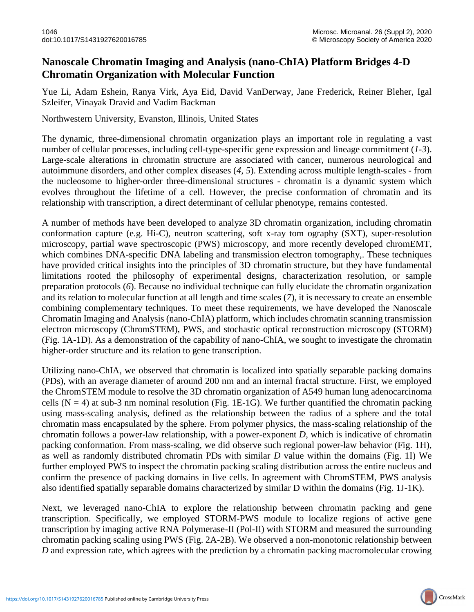## **Nanoscale Chromatin Imaging and Analysis (nano-ChIA) Platform Bridges 4-D Chromatin Organization with Molecular Function**

Yue Li, Adam Eshein, Ranya Virk, Aya Eid, David VanDerway, Jane Frederick, Reiner Bleher, Igal Szleifer, Vinayak Dravid and Vadim Backman

Northwestern University, Evanston, Illinois, United States

The dynamic, three-dimensional chromatin organization plays an important role in regulating a vast number of cellular processes, including cell-type-specific gene expression and lineage commitment (*1-3*). Large-scale alterations in chromatin structure are associated with cancer, numerous neurological and autoimmune disorders, and other complex diseases (*4, 5*). Extending across multiple length-scales - from the nucleosome to higher-order three-dimensional structures - chromatin is a dynamic system which evolves throughout the lifetime of a cell. However, the precise conformation of chromatin and its relationship with transcription, a direct determinant of cellular phenotype, remains contested.

A number of methods have been developed to analyze 3D chromatin organization, including chromatin conformation capture (e.g. Hi-C), neutron scattering, soft x-ray tom ography (SXT), super-resolution microscopy, partial wave spectroscopic (PWS) microscopy, and more recently developed chromEMT, which combines DNA-specific DNA labeling and transmission electron tomography,. These techniques have provided critical insights into the principles of 3D chromatin structure, but they have fundamental limitations rooted the philosophy of experimental designs, characterization resolution, or sample preparation protocols (*6*). Because no individual technique can fully elucidate the chromatin organization and its relation to molecular function at all length and time scales (*7*), it is necessary to create an ensemble combining complementary techniques. To meet these requirements, we have developed the Nanoscale Chromatin Imaging and Analysis (nano-ChIA) platform, which includes chromatin scanning transmission electron microscopy (ChromSTEM), PWS, and stochastic optical reconstruction microscopy (STORM) (Fig. 1A-1D). As a demonstration of the capability of nano-ChIA, we sought to investigate the chromatin higher-order structure and its relation to gene transcription.

Utilizing nano-ChIA, we observed that chromatin is localized into spatially separable packing domains (PDs), with an average diameter of around 200 nm and an internal fractal structure. First, we employed the ChromSTEM module to resolve the 3D chromatin organization of A549 human lung adenocarcinoma cells ( $N = 4$ ) at sub-3 nm nominal resolution (Fig. 1E-1G). We further quantified the chromatin packing using mass-scaling analysis, defined as the relationship between the radius of a sphere and the total chromatin mass encapsulated by the sphere. From polymer physics, the mass-scaling relationship of the chromatin follows a power-law relationship, with a power-exponent *D*, which is indicative of chromatin packing conformation. From mass-scaling, we did observe such regional power-law behavior (Fig. 1H), as well as randomly distributed chromatin PDs with similar *D* value within the domains (Fig. 1I) We further employed PWS to inspect the chromatin packing scaling distribution across the entire nucleus and confirm the presence of packing domains in live cells. In agreement with ChromSTEM, PWS analysis also identified spatially separable domains characterized by similar D within the domains (Fig. 1J-1K).

Next, we leveraged nano-ChIA to explore the relationship between chromatin packing and gene transcription. Specifically, we employed STORM-PWS module to localize regions of active gene transcription by imaging active RNA Polymerase-II (Pol-II) with STORM and measured the surrounding chromatin packing scaling using PWS (Fig. 2A-2B). We observed a non-monotonic relationship between *D* and expression rate, which agrees with the prediction by a chromatin packing macromolecular crowing

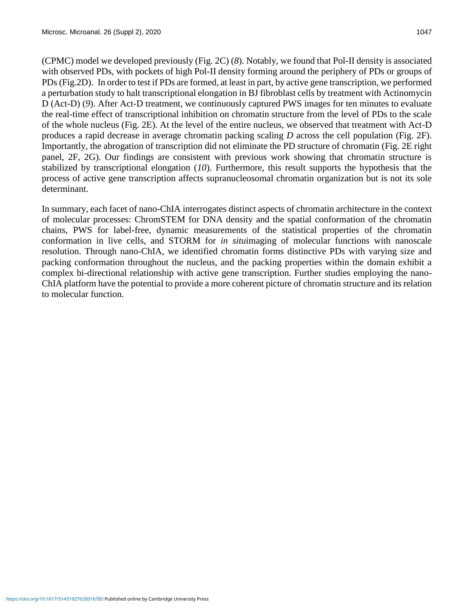(CPMC) model we developed previously (Fig. 2C) (*8*). Notably, we found that Pol-II density is associated with observed PDs, with pockets of high Pol-II density forming around the periphery of PDs or groups of PDs (Fig.2D). In order to test if PDs are formed, at least in part, by active gene transcription, we performed a perturbation study to halt transcriptional elongation in BJ fibroblast cells by treatment with Actinomycin D (Act-D) (9). After Act-D treatment, we continuously captured PWS images for ten minutes to evaluate the real-time effect of transcriptional inhibition on chromatin structure from the level of PDs to the scale of the whole nucleus (Fig. 2E). At the level of the entire nucleus, we observed that treatment with Act-D produces a rapid decrease in average chromatin packing scaling *D* across the cell population (Fig. 2F). Importantly, the abrogation of transcription did not eliminate the PD structure of chromatin (Fig. 2E right panel, 2F, 2G). Our findings are consistent with previous work showing that chromatin structure is stabilized by transcriptional elongation (*10*). Furthermore, this result supports the hypothesis that the process of active gene transcription affects supranucleosomal chromatin organization but is not its sole determinant.

In summary, each facet of nano-ChIA interrogates distinct aspects of chromatin architecture in the context of molecular processes: ChromSTEM for DNA density and the spatial conformation of the chromatin chains, PWS for label-free, dynamic measurements of the statistical properties of the chromatin conformation in live cells, and STORM for *in situ*imaging of molecular functions with nanoscale resolution. Through nano-ChIA, we identified chromatin forms distinctive PDs with varying size and packing conformation throughout the nucleus, and the packing properties within the domain exhibit a complex bi-directional relationship with active gene transcription. Further studies employing the nano-ChIA platform have the potential to provide a more coherent picture of chromatin structure and its relation to molecular function.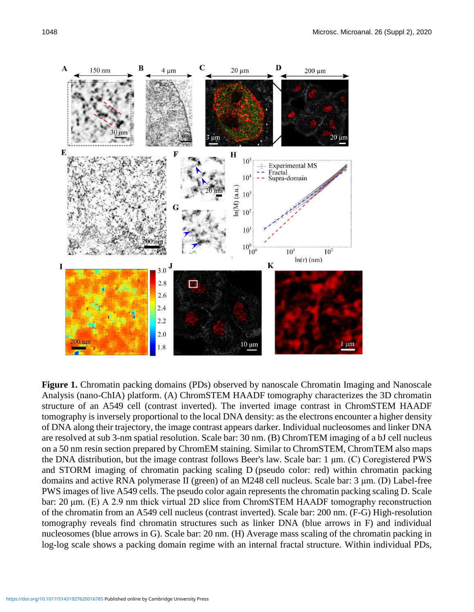

**Figure 1.** Chromatin packing domains (PDs) observed by nanoscale Chromatin Imaging and Nanoscale Analysis (nano-ChIA) platform. (A) ChromSTEM HAADF tomography characterizes the 3D chromatin structure of an A549 cell (contrast inverted). The inverted image contrast in ChromSTEM HAADF tomography is inversely proportional to the local DNA density: as the electrons encounter a higher density of DNA along their trajectory, the image contrast appears darker. Individual nucleosomes and linker DNA are resolved at sub 3-nm spatial resolution. Scale bar: 30 nm. (B) ChromTEM imaging of a bJ cell nucleus on a 50 nm resin section prepared by ChromEM staining. Similar to ChromSTEM, ChromTEM also maps the DNA distribution, but the image contrast follows Beer's law. Scale bar: 1 μm. (C) Coregistered PWS and STORM imaging of chromatin packing scaling D (pseudo color: red) within chromatin packing domains and active RNA polymerase II (green) of an M248 cell nucleus. Scale bar: 3 μm. (D) Label-free PWS images of live A549 cells. The pseudo color again represents the chromatin packing scaling D. Scale bar: 20 μm. (E) A 2.9 nm thick virtual 2D slice from ChromSTEM HAADF tomography reconstruction of the chromatin from an A549 cell nucleus (contrast inverted). Scale bar: 200 nm. (F-G) High-resolution tomography reveals find chromatin structures such as linker DNA (blue arrows in F) and individual nucleosomes (blue arrows in G). Scale bar: 20 nm. (H) Average mass scaling of the chromatin packing in log-log scale shows a packing domain regime with an internal fractal structure. Within individual PDs,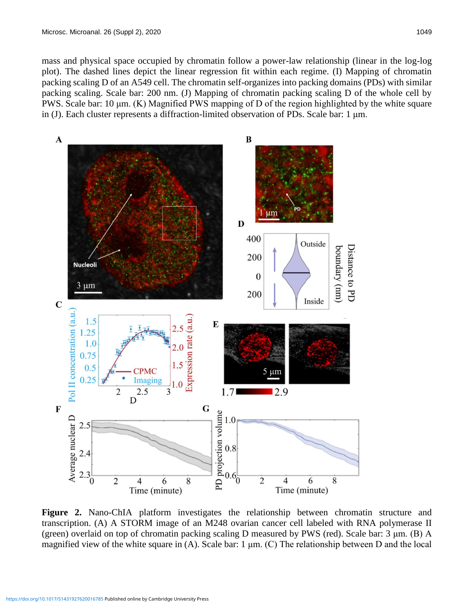mass and physical space occupied by chromatin follow a power-law relationship (linear in the log-log plot). The dashed lines depict the linear regression fit within each regime. (I) Mapping of chromatin packing scaling D of an A549 cell. The chromatin self-organizes into packing domains (PDs) with similar packing scaling. Scale bar: 200 nm. (J) Mapping of chromatin packing scaling D of the whole cell by PWS. Scale bar: 10 μm. (K) Magnified PWS mapping of D of the region highlighted by the white square in (J). Each cluster represents a diffraction-limited observation of PDs. Scale bar: 1 μm.



**Figure 2.** Nano-ChIA platform investigates the relationship between chromatin structure and transcription. (A) A STORM image of an M248 ovarian cancer cell labeled with RNA polymerase II (green) overlaid on top of chromatin packing scaling D measured by PWS (red). Scale bar: 3 μm. (B) A magnified view of the white square in (A). Scale bar: 1  $\mu$ m. (C) The relationship between D and the local